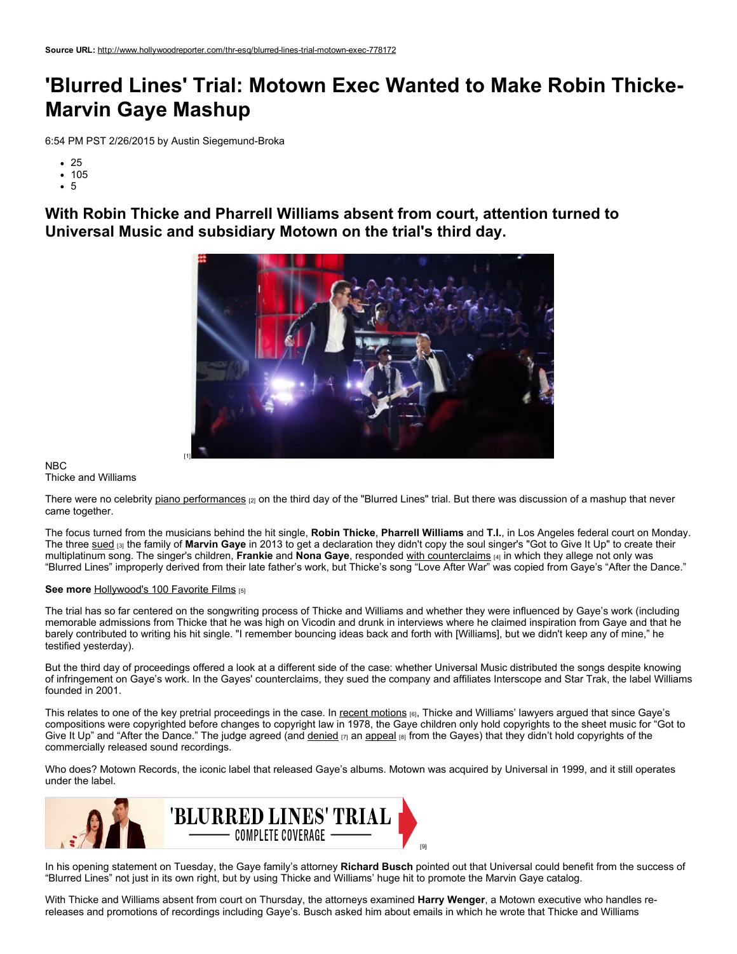## 'Blurred Lines' Trial: Motown Exec Wanted to Make Robin Thicke Marvin Gaye Mashup

6:54 PM PST 2/26/2015 by Austin Siegemund-Broka

- 25
- 105
- 5

With Robin Thicke and Pharrell Williams absent from court, attention turned to Universal Music and subsidiary Motown on the trial's third day.



NBC Thicke and Williams

There were no celebrity piano [performances](http://www.hollywoodreporter.com/thr-esq/blurred-lines-trial-robin-thicke-777851) [2] on the third day of the "Blurred Lines" trial. But there was discussion of a mashup that never came together.

The focus turned from the musicians behind the hit single, Robin Thicke, Pharrell Williams and T.I., in Los Angeles federal court on Monday. The three [sued](http://www.hollywoodreporter.com/thr-esq/robin-thicke-sues-protect-blurred-607492) [3] the family of Marvin Gaye in 2013 to get a declaration they didn't copy the soul singer's "Got to Give It Up" to create their multiplatinum song. The singer's children, Frankie and Nona Gaye, responded with [counterclaims](http://www.hollywoodreporter.com/thr-esq/blurred-lines-lawsuit-marvin-gaye-651427) [4] in which they allege not only was "Blurred Lines" improperly derived from their late father's work, but Thicke's song "Love After War" was copied from Gaye's "After the Dance."

## See more [Hollywood's](http://hollywoodreporter.com/gallery/100-greatest-films-all-time-714192) 100 Favorite Films [5]

The trial has so far centered on the songwriting process of Thicke and Williams and whether they were influenced by Gaye's work (including memorable admissions from Thicke that he was high on Vicodin and drunk in interviews where he claimed inspiration from Gaye and that he barely contributed to writing his hit single. "I remember bouncing ideas back and forth with [Williams], but we didn't keep any of mine," he testified yesterday).

But the third day of proceedings offered a look at a different side of the case: whether Universal Music distributed the songs despite knowing of infringement on Gaye's work. In the Gayes' counterclaims, they sued the company and affiliates Interscope and Star Trak, the label Williams founded in 2001.

This relates to one of the key pretrial proceedings in the case. In recent [motions](http://www.hollywoodreporter.com/thr-esq/will-a-jury-get-hear-761443) [6], Thicke and Williams' lawyers argued that since Gaye's compositions were copyrighted before changes to copyright law in 1978, the Gaye children only hold copyrights to the sheet music for "Got to Give It Up" and "After the Dance." The judge agreed (and [denied](http://www.hollywoodreporter.com/thr-esq/marvin-gaye-family-seeks-blurred-768223)  $_{[7]}$  an [appeal](http://www.hollywoodreporter.com/thr-esq/blurred-lines-trial-moving-forward-771088)  $_{[8]}$  from the Gayes) that they didn't hold copyrights of the commercially released sound recordings.

Who does? Motown Records, the iconic label that released Gaye's albums. Motown was acquired by Universal in 1999, and it still operates under the label.



In his opening statement on Tuesday, the Gaye family's attorney Richard Busch pointed out that Universal could benefit from the success of "Blurred Lines" not just in its own right, but by using Thicke and Williams' huge hit to promote the Marvin Gaye catalog.

With Thicke and Williams absent from court on Thursday, the attorneys examined Harry Wenger, a Motown executive who handles rereleases and promotions of recordings including Gaye's. Busch asked him about emails in which he wrote that Thicke and Williams